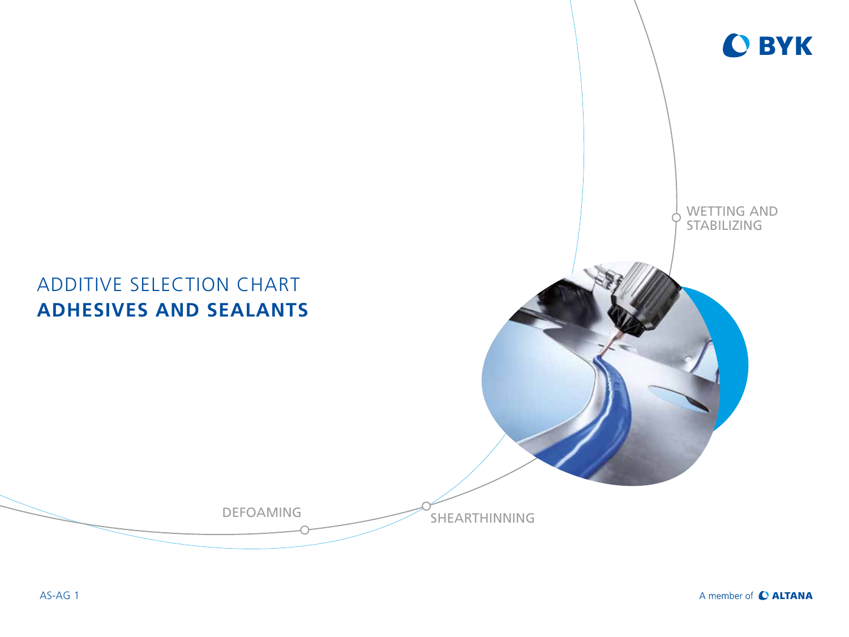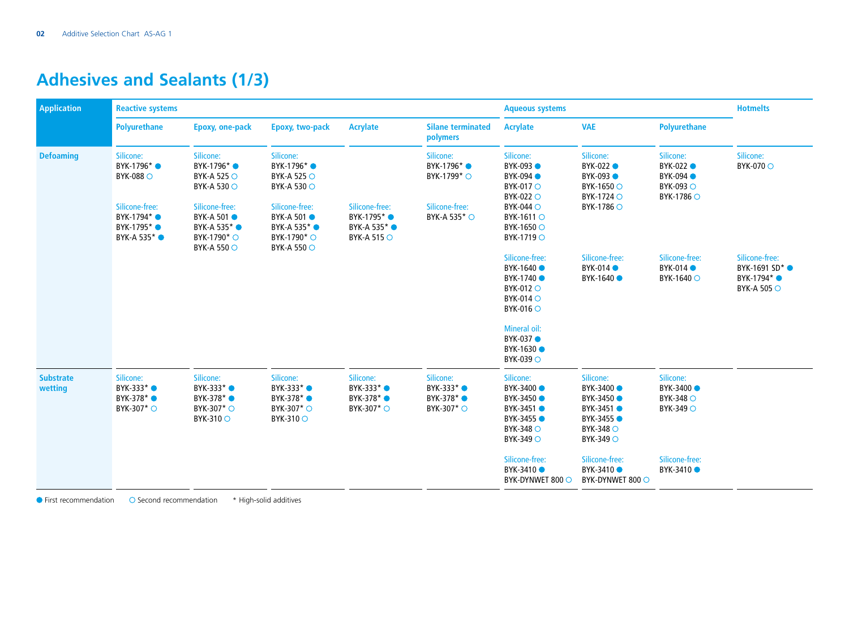# **Adhesives and Sealants (1/3)**

| <b>Application</b>          | <b>Reactive systems</b>                                      |                                                                                                          |                                                                                                |                                                                               | <b>Aqueous systems</b>                                          |                                                                                             |                                                                                                        | <b>Hotmelts</b>                                                |                                                                                   |
|-----------------------------|--------------------------------------------------------------|----------------------------------------------------------------------------------------------------------|------------------------------------------------------------------------------------------------|-------------------------------------------------------------------------------|-----------------------------------------------------------------|---------------------------------------------------------------------------------------------|--------------------------------------------------------------------------------------------------------|----------------------------------------------------------------|-----------------------------------------------------------------------------------|
|                             | Polyurethane                                                 | <b>Epoxy, one-pack</b>                                                                                   | <b>Epoxy, two-pack</b>                                                                         | <b>Acrylate</b>                                                               | <b>Silane terminated</b><br>polymers                            | <b>Acrylate</b>                                                                             | <b>VAE</b>                                                                                             | <b>Polyurethane</b>                                            |                                                                                   |
| <b>Defoaming</b>            | Silicone:<br>BYK-1796* ●<br>BYK-088 O                        | Silicone:<br>BYK-1796 <sup>*</sup><br>BYK-A 525 ○<br>BYK-A 530 ○                                         | Silicone:<br>BYK-1796* ●<br>BYK-A 525 ○<br><b>BYK-A 530 ○</b>                                  |                                                                               | Silicone:<br>BYK-1796* ●<br>BYK-1799 <sup>*</sup> ○             | Silicone:<br>BYK-093 ●<br>BYK-094 <b>O</b><br>BYK-017 O<br>BYK-022 O                        | Silicone:<br>BYK-022 ●<br>BYK-093 ●<br>BYK-1650 ○<br>BYK-1724 ○                                        | Silicone:<br>BYK-022 ●<br>BYK-094 ●<br>BYK-093 ○<br>BYK-1786 ○ | Silicone:<br><b>BYK-070 ○</b>                                                     |
|                             | Silicone-free:<br>BYK-1794* ●<br>BYK-1795* ●<br>BYK-A 535* ● | Silicone-free:<br>BYK-A 501 ●<br>BYK-A 535 <sup>*</sup><br>BYK-1790 <sup>*</sup> ○<br><b>BYK-A 550 ○</b> | Silicone-free:<br><b>BYK-A 501 ●</b><br>BYK-A 535* ●<br>BYK-1790 <sup>*</sup> ○<br>BYK-A 550 ○ | Silicone-free:<br>BYK-1795* ●<br>BYK-A 535 <sup>*</sup><br><b>BYK-A 515 ○</b> | Silicone-free:<br>BYK-A 535 <sup>*</sup> ○                      | <b>BYK-044 O</b><br>BYK-1611 ○<br>BYK-1650 ○<br>BYK-1719 ○                                  | BYK-1786 ○                                                                                             |                                                                |                                                                                   |
|                             |                                                              |                                                                                                          |                                                                                                |                                                                               |                                                                 | Silicone-free:<br>BYK-1640 ●<br>BYK-1740 ●<br>BYK-012 O<br>BYK-014 O<br>$BYK-016$ $\circ$   | Silicone-free:<br>BYK-014<br>BYK-1640 ●                                                                | Silicone-free:<br>BYK-014<br>BYK-1640 ○                        | Silicone-free:<br>BYK-1691 SD <sup>*</sup> ●<br>BYK-1794* ●<br><b>BYK-A 505 ○</b> |
|                             |                                                              |                                                                                                          |                                                                                                |                                                                               |                                                                 | Mineral oil:<br>BYK-037 ●<br>BYK-1630 ●<br>BYK-039 ○                                        |                                                                                                        |                                                                |                                                                                   |
| <b>Substrate</b><br>wetting | Silicone:<br>BYK-333* ●<br>BYK-378* ●<br>BYK-307* ○          | Silicone:<br>BYK-333* ●<br>BYK-378* ●<br>BYK-307 <sup>*</sup> ○<br>BYK-310 O                             | Silicone:<br>BYK-333* ●<br>BYK-378* ●<br>BYK-307 <sup>*</sup> ○<br>BYK-310 O                   | Silicone:<br>BYK-333* ●<br>BYK-378* ●<br>BYK-307 <sup>*</sup> ○               | Silicone:<br>BYK-333* ●<br>BYK-378* ●<br>BYK-307 <sup>*</sup> ○ | Silicone:<br>BYK-3400 ●<br>BYK-3450 ●<br>BYK-3451 ●<br>BYK-3455 ●<br>BYK-348 O<br>BYK-349 ○ | Silicone:<br>BYK-3400 <sup>O</sup><br>BYK-3450 ●<br>BYK-3451 ●<br>BYK-3455 ●<br>BYK-348 O<br>BYK-349 ○ | Silicone:<br>BYK-3400 ●<br>BYK-348 O<br>BYK-349 ○              |                                                                                   |
|                             |                                                              |                                                                                                          |                                                                                                |                                                                               |                                                                 | Silicone-free:<br>BYK-3410 ●<br>BYK-DYNWET 800 ○                                            | Silicone-free:<br>BYK-3410 ●<br>BYK-DYNWET 800 O                                                       | Silicone-free:<br>BYK-3410 ●                                   |                                                                                   |

First recommendation Second recommendation \* High-solid additives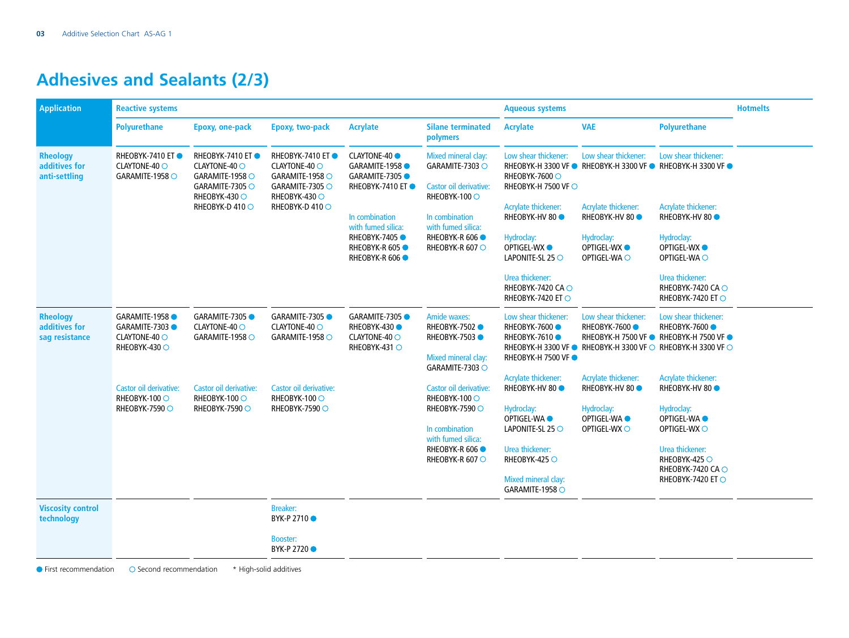# **Adhesives and Sealants (2/3)**

| <b>Application</b>                                 | <b>Reactive systems</b>                                          |                                                                                                                          |                                                                                                                          |                                                                                                                         | <b>Aqueous systems</b>                       |                                                          |                                                                                                                                                | <b>Hotmelts</b>                                             |  |
|----------------------------------------------------|------------------------------------------------------------------|--------------------------------------------------------------------------------------------------------------------------|--------------------------------------------------------------------------------------------------------------------------|-------------------------------------------------------------------------------------------------------------------------|----------------------------------------------|----------------------------------------------------------|------------------------------------------------------------------------------------------------------------------------------------------------|-------------------------------------------------------------|--|
|                                                    | <b>Polyurethane</b>                                              | Epoxy, one-pack                                                                                                          | Epoxy, two-pack                                                                                                          | <b>Acrylate</b>                                                                                                         | <b>Silane terminated</b><br>polymers         | <b>Acrylate</b>                                          | <b>VAE</b>                                                                                                                                     | <b>Polyurethane</b>                                         |  |
| <b>Rheology</b><br>additives for<br>anti-settling  | RHEOBYK-7410 ET<br>CLAYTONE-40 ○<br>GARAMITE-1958 $\circ$        | <b>RHEOBYK-7410 ET●</b><br>CLAYTONE-40 O<br>GARAMITE-1958 $\circ$<br>GARAMITE-7305 O<br>RHEOBYK-430 O<br>RHEOBYK-D 410 O | <b>RHEOBYK-7410 ET●</b><br>CLAYTONE-40 O<br>GARAMITE-1958 $\circ$<br>GARAMITE-7305 O<br>RHEOBYK-430 O<br>RHEOBYK-D 410 O | <b>CLAYTONE-40</b><br>GARAMITE-1958<br>GARAMITE-7305<br><b>RHEOBYK-7410 ET●</b><br>In combination<br>with fumed silica: | Mixed mineral clay:<br>GARAMITE-7303 O       | Low shear thickener:<br>RHEOBYK-7600 O                   | Low shear thickener:<br>RHEOBYK-H 3300 VF ● RHEOBYK-H 3300 VF ● RHEOBYK-H 3300 VF ●                                                            | Low shear thickener:                                        |  |
|                                                    |                                                                  |                                                                                                                          |                                                                                                                          |                                                                                                                         | Castor oil derivative:<br>RHEOBYK-100 ○      | RHEOBYK-H 7500 VF ○                                      |                                                                                                                                                |                                                             |  |
|                                                    |                                                                  |                                                                                                                          |                                                                                                                          |                                                                                                                         | In combination<br>with fumed silica:         | Acrylate thickener:<br><b>RHEOBYK-HV 80 ●</b>            | Acrylate thickener:<br><b>RHEOBYK-HV 80 ●</b>                                                                                                  | Acrylate thickener:<br>RHEOBYK-HV 80 <sup>®</sup>           |  |
|                                                    |                                                                  |                                                                                                                          |                                                                                                                          | RHEOBYK-7405<br>RHEOBYK-R 605<br>RHEOBYK-R 606                                                                          | <b>RHEOBYK-R 606 ●</b><br>RHEOBYK-R 607 O    | Hydroclay:<br><b>OPTIGEL-WX ●</b><br>LAPONITE-SL 25 O    | Hydroclay:<br><b>OPTIGEL-WX ●</b><br>OPTIGEL-WA O                                                                                              | Hydroclay:<br><b>OPTIGEL-WX ●</b><br>OPTIGEL-WA O           |  |
|                                                    |                                                                  |                                                                                                                          |                                                                                                                          |                                                                                                                         |                                              | Urea thickener:<br>RHEOBYK-7420 CAO<br>RHEOBYK-7420 ET O |                                                                                                                                                | Urea thickener:<br>RHEOBYK-7420 CAO<br>RHEOBYK-7420 ET O    |  |
| <b>Rheology</b><br>additives for<br>sag resistance | GARAMITE-1958<br>GARAMITE-7303<br>CLAYTONE-40 O<br>RHEOBYK-430 ○ | GARAMITE-7305<br>CLAYTONE-40 O<br>GARAMITE-1958 O                                                                        | GARAMITE-7305<br>CLAYTONE-40 O<br>GARAMITE-1958 O                                                                        | GARAMITE-7305<br><b>RHEOBYK-430 ●</b><br>CLAYTONE-40 O<br>RHEOBYK-431 O                                                 | Amide waxes:<br>RHEOBYK-7502<br>RHEOBYK-7503 | Low shear thickener:<br>RHEOBYK-7600<br>RHEOBYK-7610 ●   | Low shear thickener:<br>RHEOBYK-7600<br>RHEOBYK-H 7500 VF ● RHEOBYK-H 7500 VF ●<br>RHEOBYK-H 3300 VF ● RHEOBYK-H 3300 VF ○ RHEOBYK-H 3300 VF ○ | Low shear thickener:<br>RHEOBYK-7600                        |  |
|                                                    |                                                                  |                                                                                                                          |                                                                                                                          |                                                                                                                         | Mixed mineral clay:<br>GARAMITE-7303 O       | RHEOBYK-H 7500 VF ●                                      |                                                                                                                                                |                                                             |  |
|                                                    | Castor oil derivative:<br>RHEOBYK-100 O                          | Castor oil derivative:<br>RHEOBYK-100 O                                                                                  | Castor oil derivative:<br>RHEOBYK-100 O                                                                                  |                                                                                                                         | Castor oil derivative:<br>RHEOBYK-100 O      | Acrylate thickener:<br><b>RHEOBYK-HV 80 ●</b>            | Acrylate thickener:<br><b>RHEOBYK-HV 80 ●</b>                                                                                                  | <b>Acrylate thickener:</b><br><b>RHEOBYK-HV 80 ●</b>        |  |
|                                                    | RHEOBYK-7590 ○                                                   | RHEOBYK-7590 ○                                                                                                           | RHEOBYK-7590 ○                                                                                                           |                                                                                                                         | RHEOBYK-7590 ○                               | Hydroclay:<br><b>OPTIGEL-WAO</b>                         | Hydroclay:<br><b>OPTIGEL-WAO</b>                                                                                                               | Hydroclay:<br>OPTIGEL-WA <sup>O</sup>                       |  |
|                                                    |                                                                  |                                                                                                                          |                                                                                                                          |                                                                                                                         | In combination<br>with fumed silica:         | LAPONITE-SL 25 O                                         | OPTIGEL-WX O                                                                                                                                   | OPTIGEL-WX O                                                |  |
|                                                    |                                                                  |                                                                                                                          |                                                                                                                          |                                                                                                                         | <b>RHEOBYK-R 606 ●</b><br>RHEOBYK-R 607 O    | Urea thickener:<br>RHEOBYK-425 $\bigcirc$                |                                                                                                                                                | Urea thickener:<br><b>RHEOBYK-425 ○</b><br>RHEOBYK-7420 CAO |  |
|                                                    |                                                                  |                                                                                                                          |                                                                                                                          |                                                                                                                         |                                              | Mixed mineral clay:<br>GARAMITE-1958 O                   |                                                                                                                                                | RHEOBYK-7420 ET O                                           |  |
| <b>Viscosity control</b><br>technology             |                                                                  |                                                                                                                          | <b>Breaker:</b><br>BYK-P 2710 ●                                                                                          |                                                                                                                         |                                              |                                                          |                                                                                                                                                |                                                             |  |
|                                                    |                                                                  |                                                                                                                          | <b>Booster:</b><br>BYK-P 2720 ●                                                                                          |                                                                                                                         |                                              |                                                          |                                                                                                                                                |                                                             |  |

 $\bullet$  First recommendation  $\bullet$  Second recommendation  $*$  High-solid additives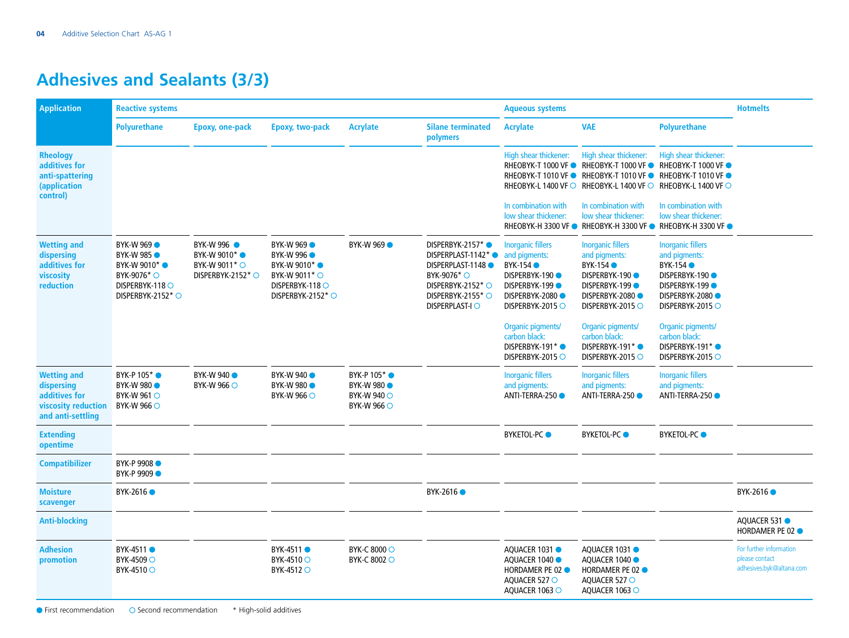# **Adhesives and Sealants (3/3)**

| <b>Application</b>                                                                            | <b>Reactive systems</b>                                                                                                                |                                                                                          |                                                                                                                            |                                                                                |                                                                                                                                                           | <b>Aqueous systems</b>                                                                                                                        | <b>Hotmelts</b>                                                                                                                                              |                                                                                                                                                        |                                                                       |
|-----------------------------------------------------------------------------------------------|----------------------------------------------------------------------------------------------------------------------------------------|------------------------------------------------------------------------------------------|----------------------------------------------------------------------------------------------------------------------------|--------------------------------------------------------------------------------|-----------------------------------------------------------------------------------------------------------------------------------------------------------|-----------------------------------------------------------------------------------------------------------------------------------------------|--------------------------------------------------------------------------------------------------------------------------------------------------------------|--------------------------------------------------------------------------------------------------------------------------------------------------------|-----------------------------------------------------------------------|
|                                                                                               | <b>Polyurethane</b>                                                                                                                    | Epoxy, one-pack                                                                          | Epoxy, two-pack                                                                                                            | <b>Acrylate</b>                                                                | <b>Silane terminated</b><br>polymers                                                                                                                      | <b>Acrylate</b>                                                                                                                               | <b>VAE</b>                                                                                                                                                   | <b>Polyurethane</b>                                                                                                                                    |                                                                       |
| <b>Rheology</b><br>additives for<br>anti-spattering<br>(application<br>control)               |                                                                                                                                        |                                                                                          |                                                                                                                            |                                                                                |                                                                                                                                                           | High shear thickener:<br>RHEOBYK-T 1000 VF ●                                                                                                  | High shear thickener:<br><b>RHEOBYK-T 1000 VF●</b><br>RHEOBYK-T 1010 VF ● RHEOBYK-T 1010 VF ●<br>RHEOBYK-L 1400 VF ○ RHEOBYK-L 1400 VF ○ RHEOBYK-L 1400 VF ○ | High shear thickener:<br><b>RHEOBYK-T 1000 VF ●</b><br><b>RHEOBYK-T 1010 VF●</b>                                                                       |                                                                       |
|                                                                                               |                                                                                                                                        |                                                                                          |                                                                                                                            |                                                                                |                                                                                                                                                           | In combination with<br>low shear thickener:                                                                                                   | In combination with<br>low shear thickener:                                                                                                                  | In combination with<br>low shear thickener:<br>RHEOBYK-H 3300 VF ● RHEOBYK-H 3300 VF ● RHEOBYK-H 3300 VF ●                                             |                                                                       |
| <b>Wetting and</b><br>dispersing<br>additives for<br>viscosity<br>reduction                   | <b>BYK-W 969</b><br><b>BYK-W 985 ●</b><br>BYK-W 9010 <sup>*</sup> ●<br>BYK-9076 <sup>*</sup> ○<br>DISPERBYK-118 O<br>DISPERBYK-2152* O | BYK-W 996<br>BYK-W 9010 <sup>*</sup> ●<br>BYK-W 9011 <sup>*</sup> ○<br>DISPERBYK-2152* O | <b>BYK-W 969</b><br><b>BYK-W 996 ●</b><br>BYK-W 9010*<br>BYK-W 9011 <sup>*</sup> ○<br>DISPERBYK-118 O<br>DISPERBYK-2152* ○ | <b>BYK-W 969</b>                                                               | DISPERBYK-2157*●<br>DISPERPLAST-1142*<br>DISPERPLAST-1148<br>BYK-9076 <sup>*</sup> ○<br>DISPERBYK-2152* $\bigcirc$<br>DISPERBYK-2155* ○<br>DISPERPLAST-IO | <b>Inorganic fillers</b><br>and pigments:<br><b>BYK-154 ●</b><br>DISPERBYK-190<br><b>DISPERBYK-199●</b><br>DISPERBYK-2080<br>DISPERBYK-2015 O | <b>Inorganic fillers</b><br>and pigments:<br><b>BYK-154</b><br>DISPERBYK-190<br><b>DISPERBYK-199●</b><br>DISPERBYK-2080<br>DISPERBYK-2015 O                  | <b>Inorganic fillers</b><br>and pigments:<br><b>BYK-154 ●</b><br><b>DISPERBYK-190 ●</b><br>DISPERBYK-199<br><b>DISPERBYK-2080●</b><br>DISPERBYK-2015 O |                                                                       |
|                                                                                               |                                                                                                                                        |                                                                                          |                                                                                                                            |                                                                                |                                                                                                                                                           | Organic pigments/<br>carbon black:<br>DISPERBYK-191*●<br>DISPERBYK-2015 O                                                                     | Organic pigments/<br>carbon black:<br>DISPERBYK-191*●<br>DISPERBYK-2015 O                                                                                    | Organic pigments/<br>carbon black:<br>DISPERBYK-191*●<br>DISPERBYK-2015 O                                                                              |                                                                       |
| <b>Wetting and</b><br>dispersing<br>additives for<br>viscosity reduction<br>and anti-settling | BYK-P 105 <sup>*</sup> ●<br><b>BYK-W 980 •</b><br>BYK-W 961 $\circ$<br>BYK-W 966 $\circ$                                               | <b>BYK-W 940</b><br>BYK-W 966 O                                                          | <b>BYK-W 940</b><br><b>BYK-W 980 ·</b><br>BYK-W 966 $\circ$                                                                | BYK-P 105* ●<br><b>BYK-W 980 ·</b><br><b>BYK-W 940 ○</b><br><b>BYK-W 966 ○</b> |                                                                                                                                                           | <b>Inorganic fillers</b><br>and pigments:<br>ANTI-TERRA-250                                                                                   | <b>Inorganic fillers</b><br>and pigments:<br>ANTI-TERRA-250                                                                                                  | <b>Inorganic fillers</b><br>and pigments:<br>ANTI-TERRA-250                                                                                            |                                                                       |
| <b>Extending</b><br>opentime                                                                  |                                                                                                                                        |                                                                                          |                                                                                                                            |                                                                                |                                                                                                                                                           | <b>BYKETOL-PC</b>                                                                                                                             | <b>BYKETOL-PC</b>                                                                                                                                            | <b>BYKETOL-PC</b>                                                                                                                                      |                                                                       |
| <b>Compatibilizer</b>                                                                         | BYK-P 9908<br>BYK-P 9909                                                                                                               |                                                                                          |                                                                                                                            |                                                                                |                                                                                                                                                           |                                                                                                                                               |                                                                                                                                                              |                                                                                                                                                        |                                                                       |
| <b>Moisture</b><br>scavenger                                                                  | BYK-2616 ●                                                                                                                             |                                                                                          |                                                                                                                            |                                                                                | BYK-2616 ●                                                                                                                                                |                                                                                                                                               |                                                                                                                                                              |                                                                                                                                                        | BYK-2616 ●                                                            |
| <b>Anti-blocking</b>                                                                          |                                                                                                                                        |                                                                                          |                                                                                                                            |                                                                                |                                                                                                                                                           |                                                                                                                                               |                                                                                                                                                              |                                                                                                                                                        | AQUACER 531<br>HORDAMER PE 02 ·                                       |
| <b>Adhesion</b><br>promotion                                                                  | BYK-4511 ●<br>BYK-4509 ○<br>BYK-4510 ○                                                                                                 |                                                                                          | BYK-4511 ●<br>BYK-4510 ○<br>BYK-4512 O                                                                                     | BYK-C 8000 ○<br>BYK-C 8002 O                                                   |                                                                                                                                                           | AQUACER 1031<br>AQUACER 1040<br><b>HORDAMER PE 02 ●</b><br>AQUACER 527 O<br>AQUACER 1063 O                                                    | AQUACER 1031<br>AQUACER 1040<br>HORDAMER PE 02 ·<br>AOUACER 527 O<br>AQUACER 1063 O                                                                          |                                                                                                                                                        | For further information<br>please contact<br>adhesives.byk@altana.com |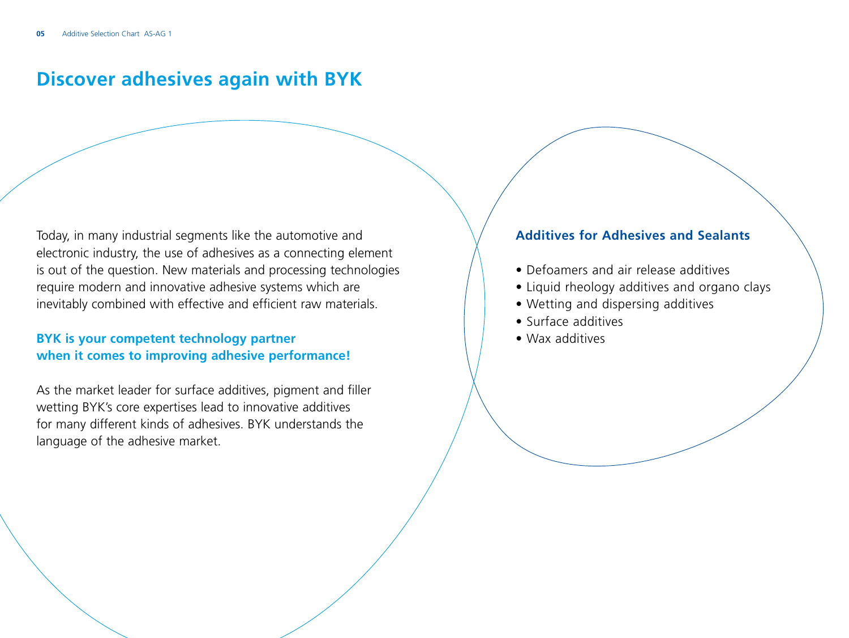#### **Discover adhesives again with BYK**

Today, in many industrial segments like the automotive and electronic industry, the use of adhesives as a connecting element is out of the question. New materials and processing technologies require modern and innovative adhesive systems which are inevitably combined with effective and efficient raw materials.

#### **BYK is your competent technology partner when it comes to improving adhesive performance!**

As the market leader for surface additives, pigment and filler wetting BYK's core expertises lead to innovative additives for many different kinds of adhesives. BYK understands the language of the adhesive market.

#### **Additives for Adhesives and Sealants**

- Defoamers and air release additives
- Liquid rheology additives and organo clays
- Wetting and dispersing additives
- Surface additives
- Wax additives